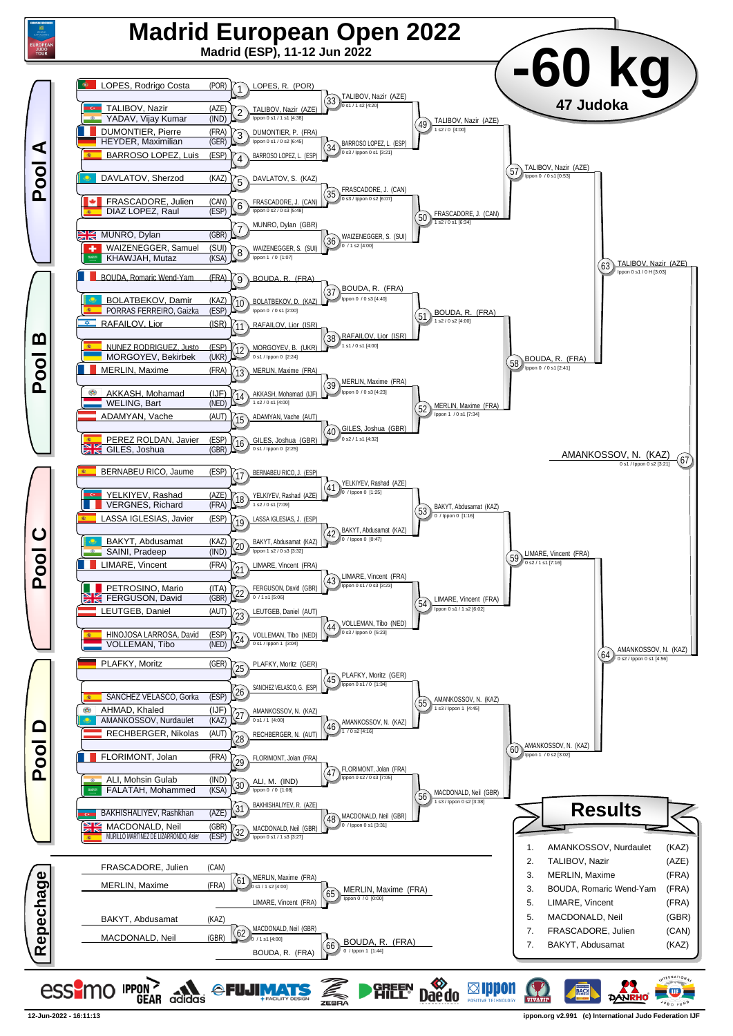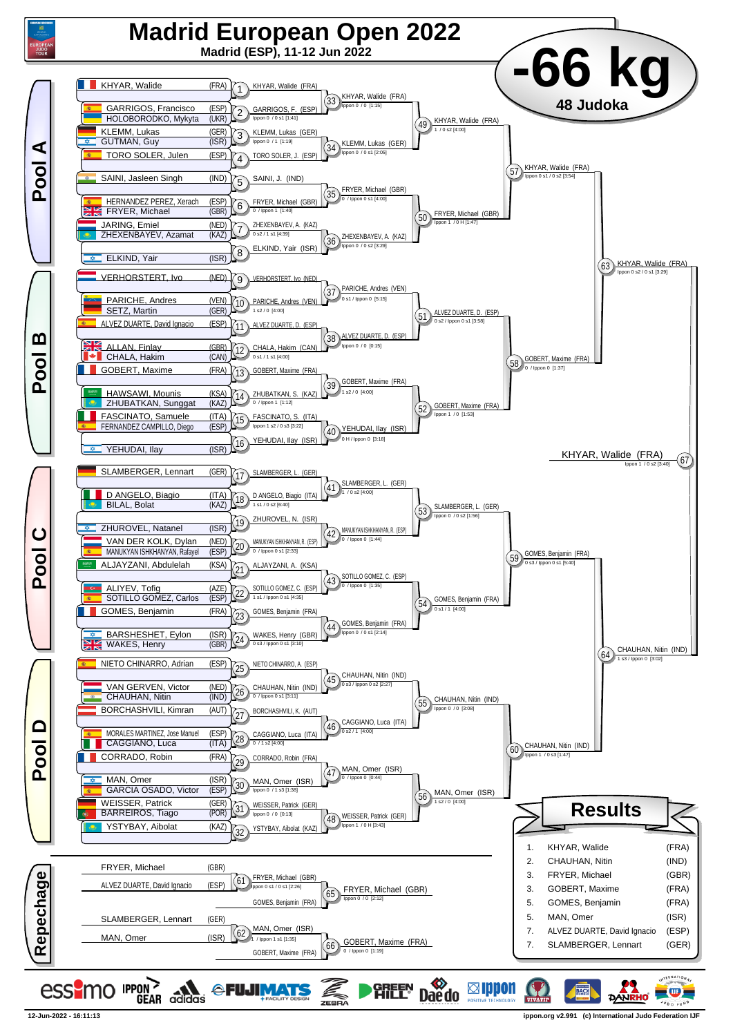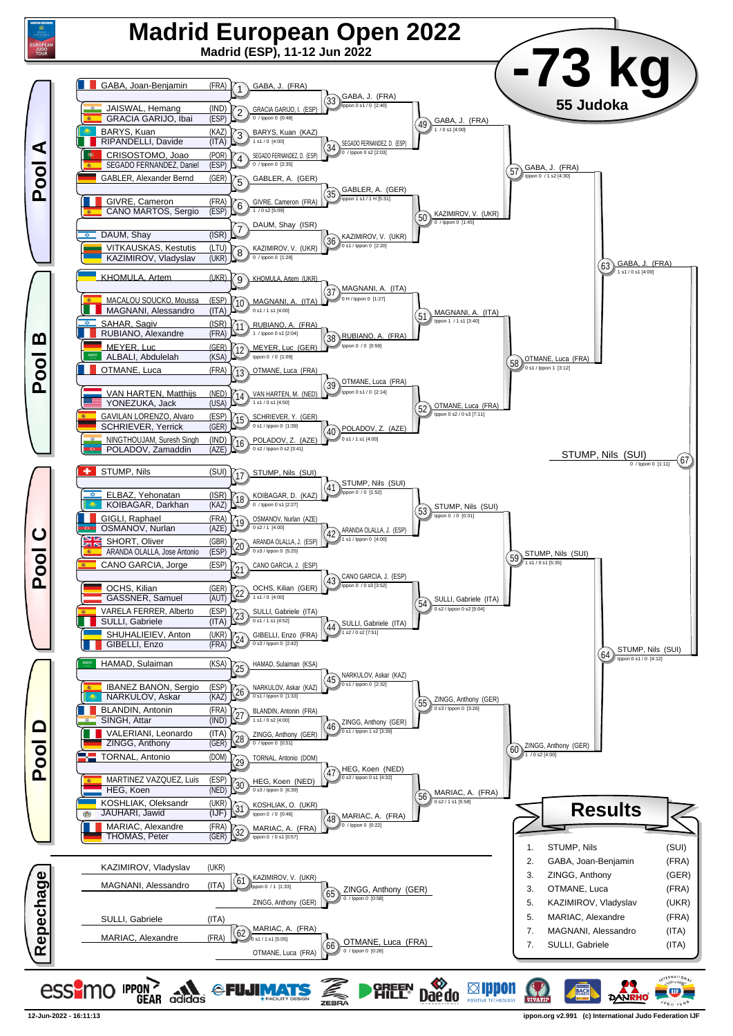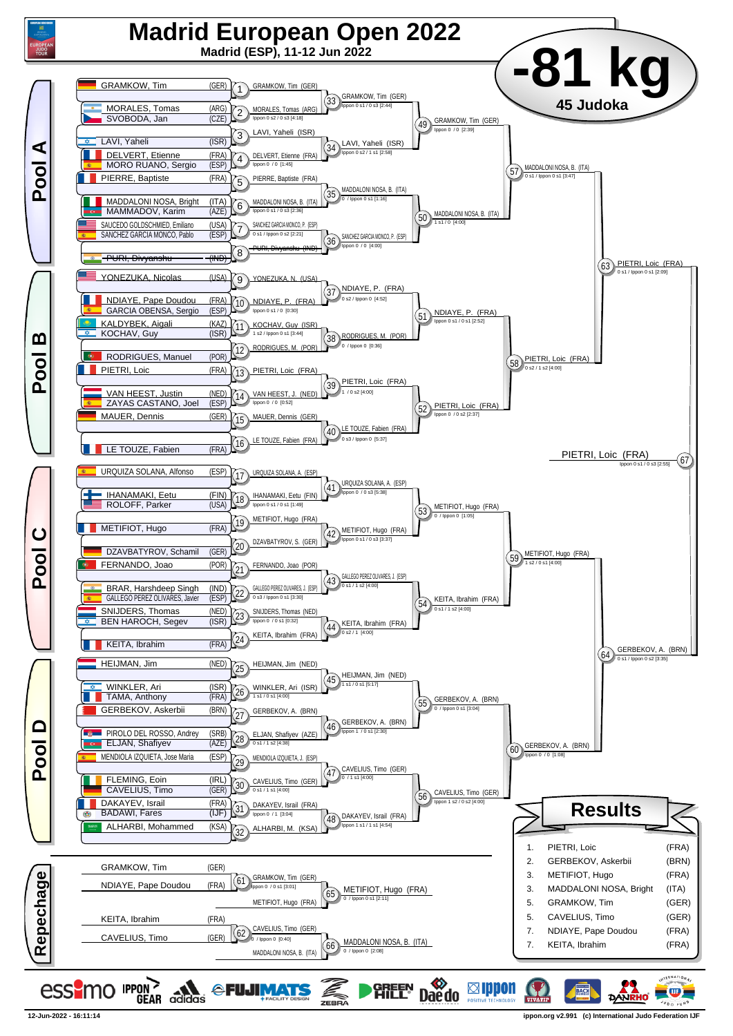

**12-Jun-2022 - 16:11:14 ippon.org v2.991 (c) International Judo Federation IJF**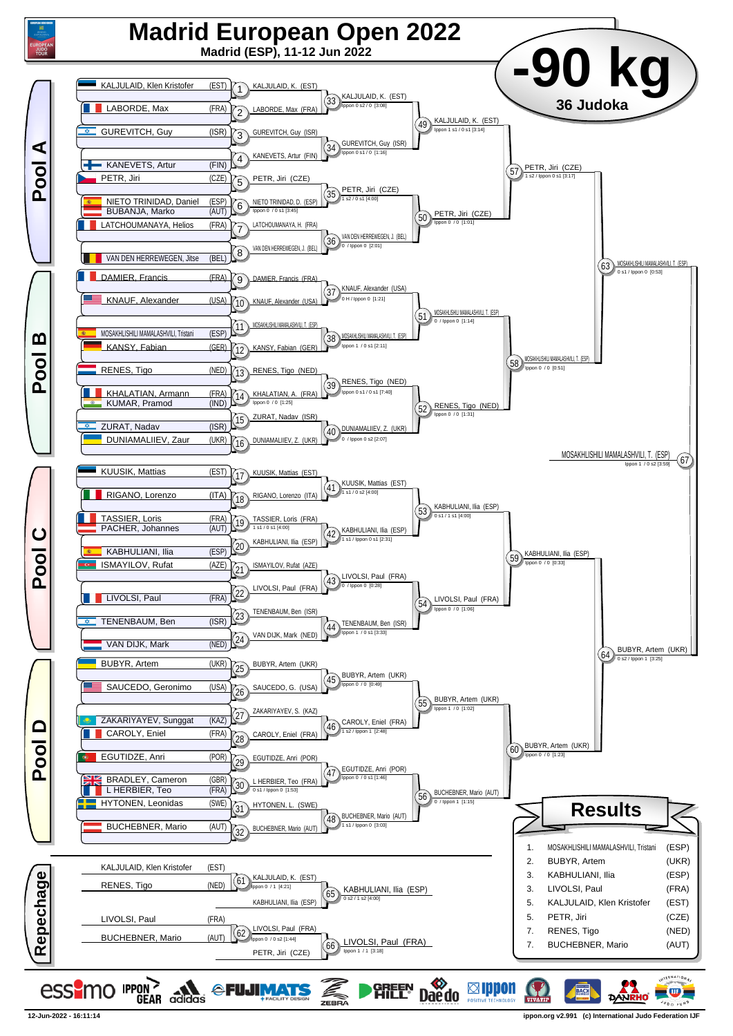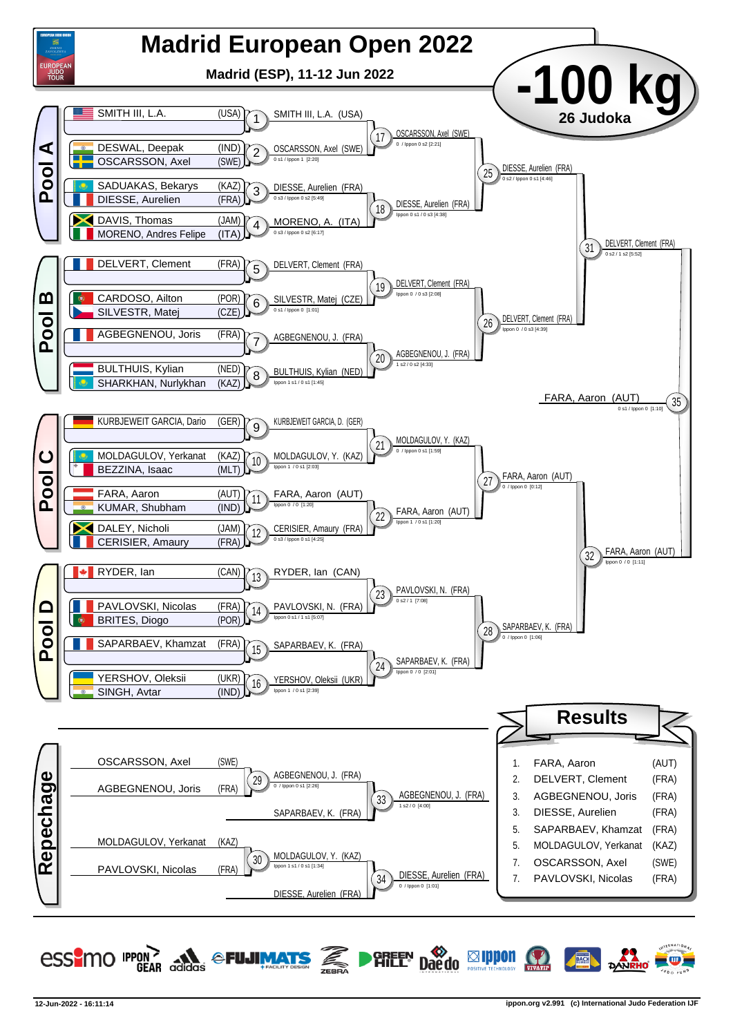

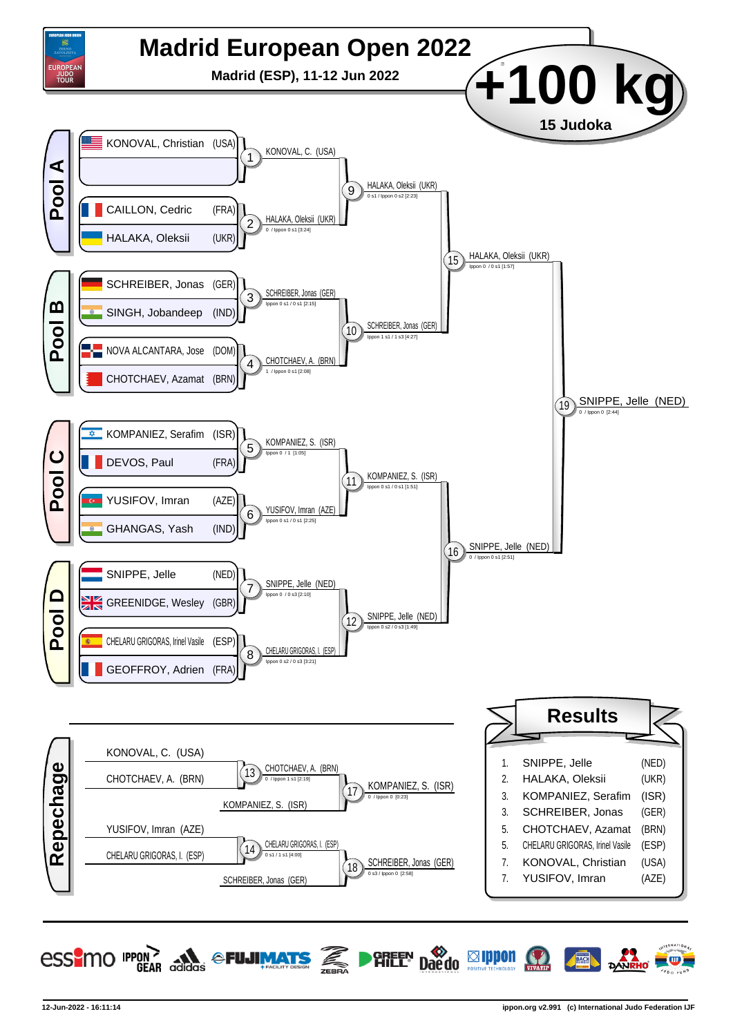

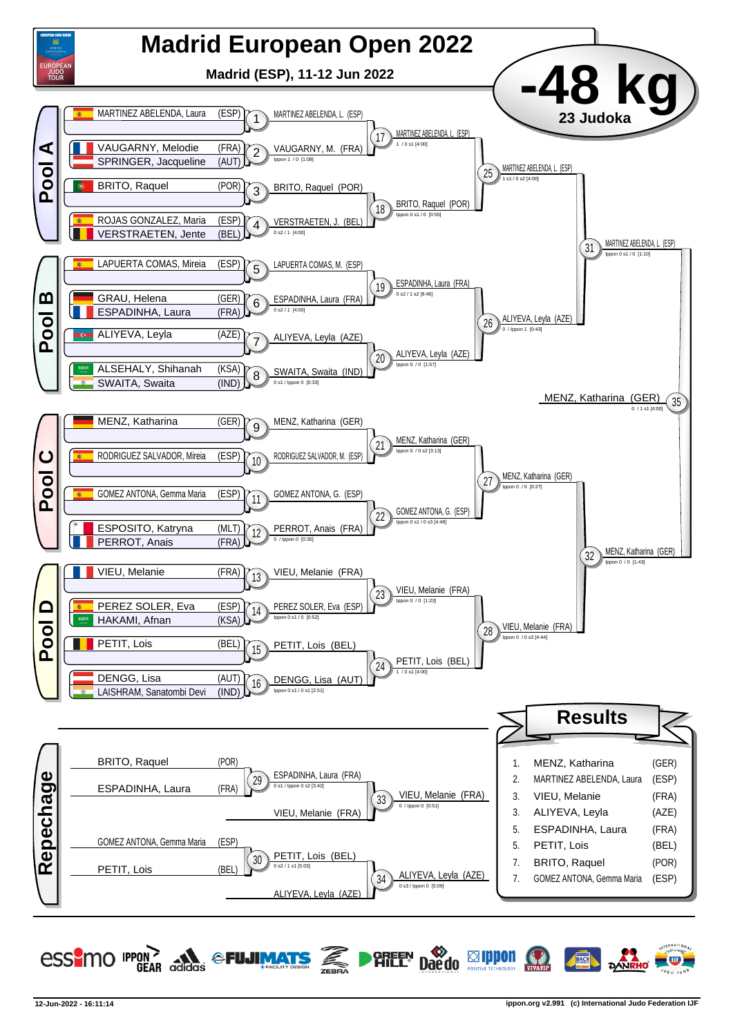

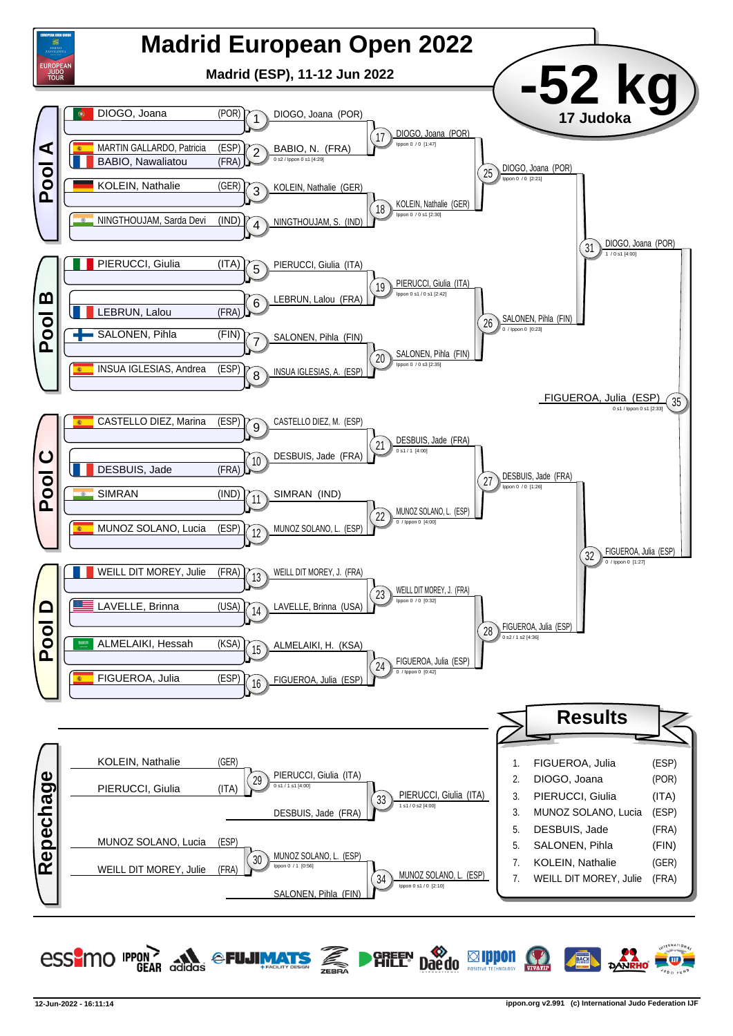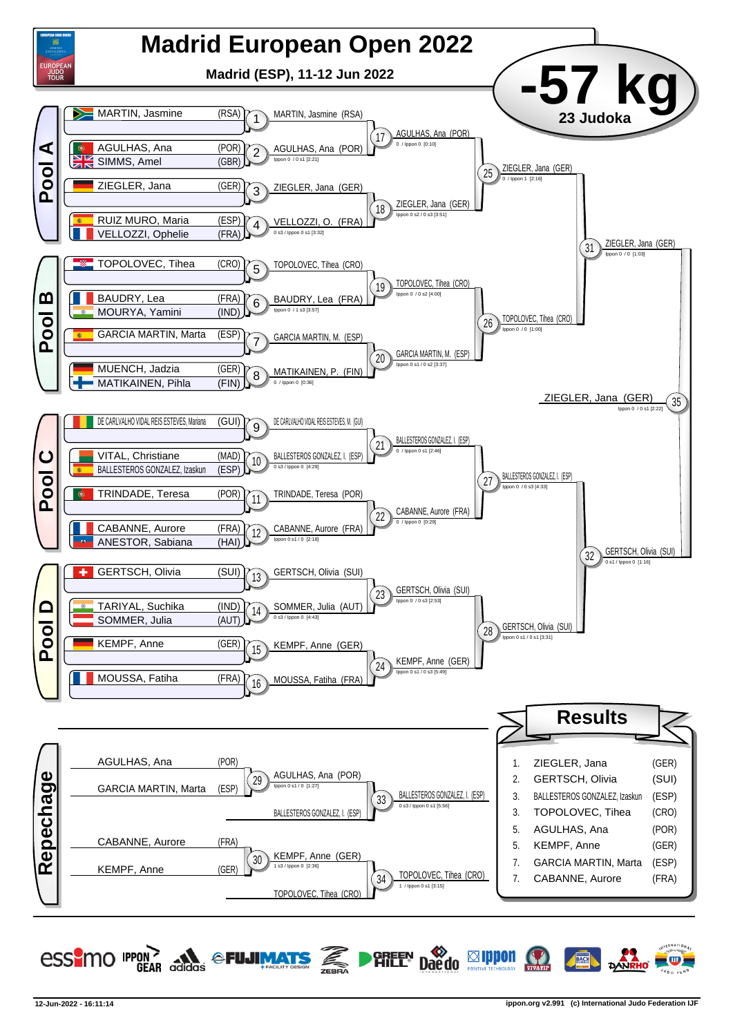

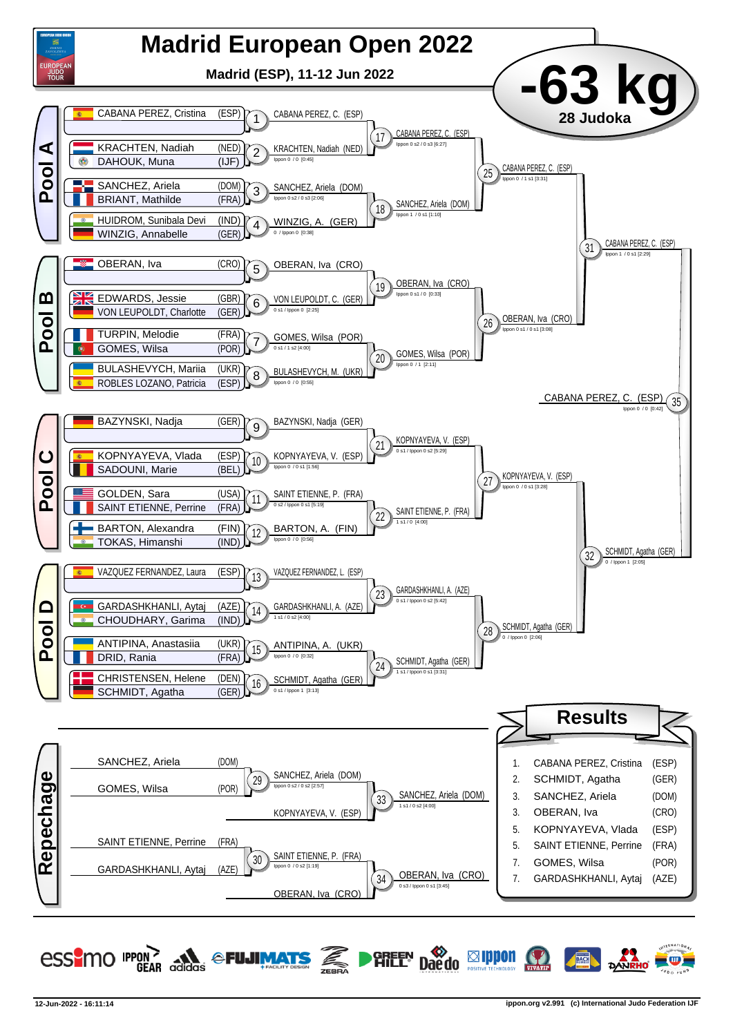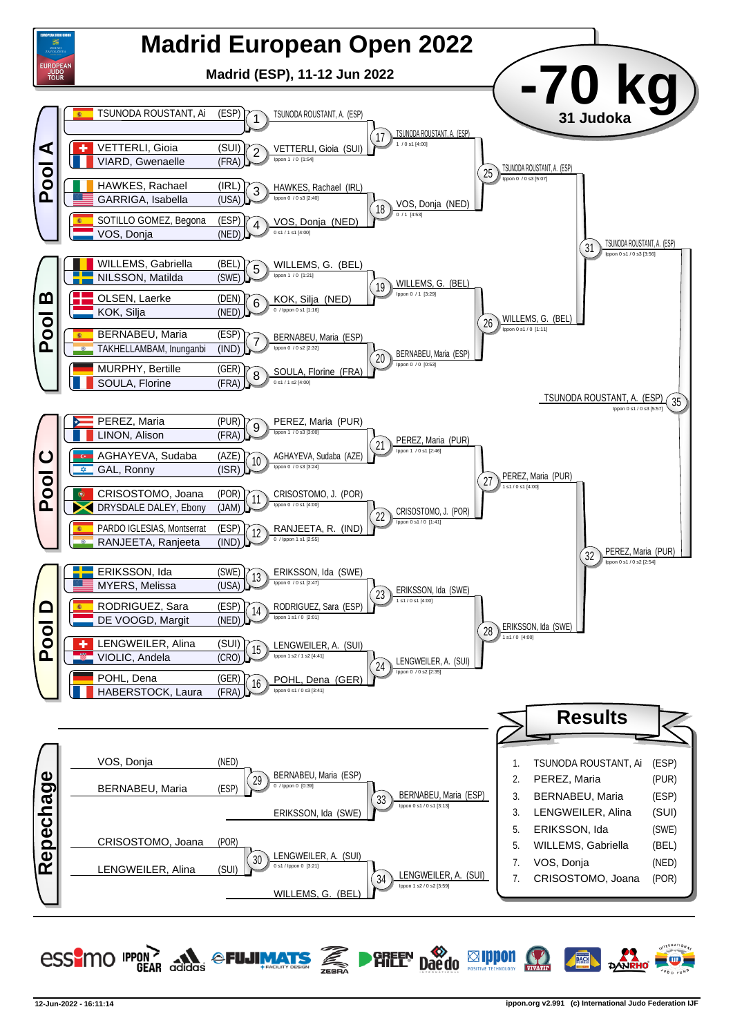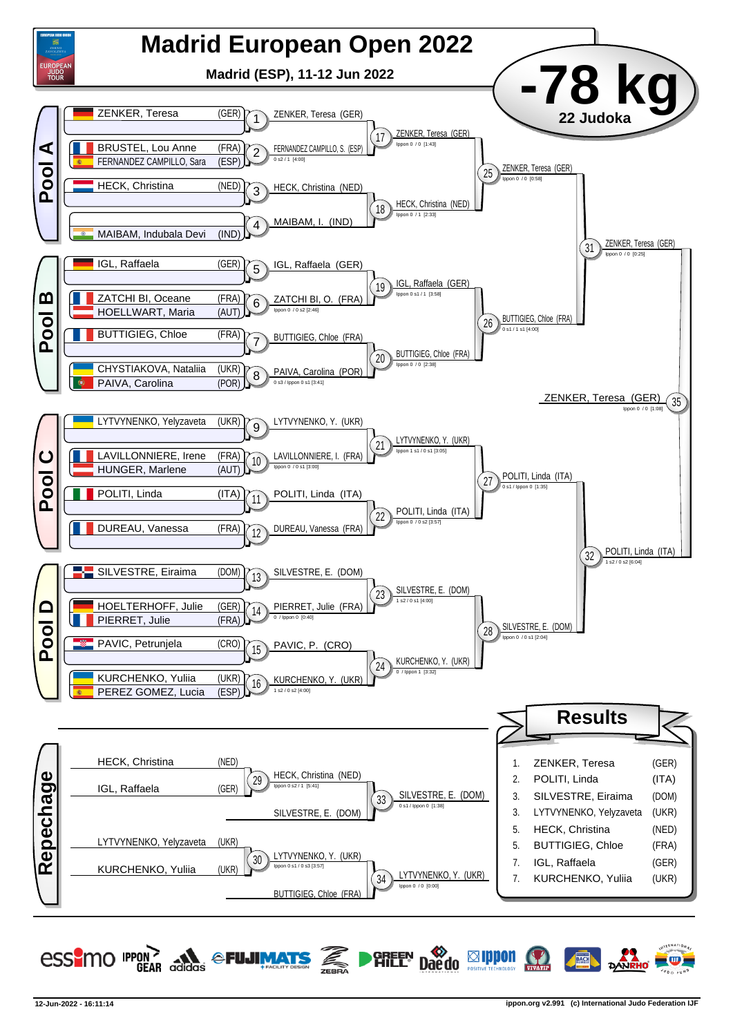